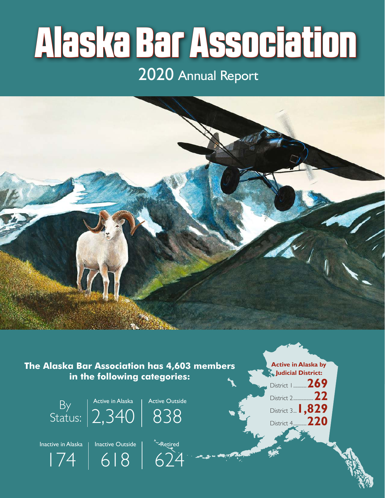# Alaska Bar Association

## 2020 Annual Report



**The Alaska Bar Association has 4,603 members in the following categories:**

618



624



**Active in Alaska by Judicial District:**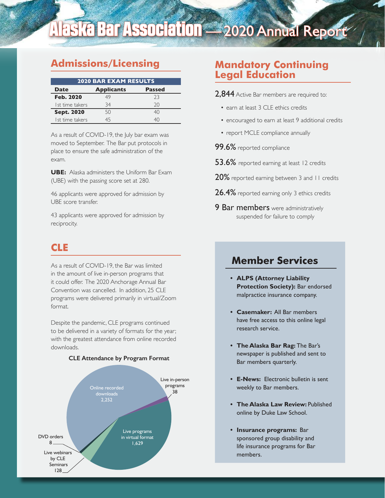## Alaska Bar Association - 2020 Annual Report

## **Admissions/Licensing**

| <b>2020 BAR EXAM RESULTS</b> |                   |               |  |  |
|------------------------------|-------------------|---------------|--|--|
| <b>Date</b>                  | <b>Applicants</b> | <b>Passed</b> |  |  |
| <b>Feb. 2020</b>             | 49                | 23            |  |  |
| Ist time takers              | 34                | 20            |  |  |
| <b>Sept. 2020</b>            | 50                | 40            |  |  |
| I st time takers             |                   |               |  |  |

As a result of COVID-19, the July bar exam was moved to September. The Bar put protocols in place to ensure the safe administration of the exam.

**UBE:** Alaska administers the Uniform Bar Exam (UBE) with the passing score set at 280.

46 applicants were approved for admission by UBE score transfer.

43 applicants were approved for admission by reciprocity.

## **CLE**

As a result of COVID-19, the Bar was limited in the amount of live in-person programs that it could offer. The 2020 Anchorage Annual Bar Convention was cancelled. In addition, 25 CLE programs were delivered primarily in virtual/Zoom format.

Despite the pandemic, CLE programs continued to be delivered in a variety of formats for the year; with the greatest attendance from online recorded downloads.

#### **CLE Attendance by Program Format**



## **Mandatory Continuing Legal Education**

- 2,844 Active Bar members are required to:
	- earn at least 3 CLE ethics credits
	- encouraged to earn at least 9 additional credits
	- report MCLE compliance annually
- 99.6% reported compliance
- 53.6% reported earning at least 12 credits
- 20% reported earning between 3 and 11 credits
- 26.4% reported earning only 3 ethics credits
- **9 Bar members** were administratively suspended for failure to comply

### **Member Services**

- **ALPS (Attorney Liability Protection Society):** Bar endorsed malpractice insurance company.
- **Casemaker:** All Bar members have free access to this online legal research service.
- **The Alaska Bar Rag:** The Bar's newspaper is published and sent to Bar members quarterly.
- **E-News:** Electronic bulletin is sent weekly to Bar members.
- **The Alaska Law Review:** Published online by Duke Law School.
- **Insurance programs:** Bar sponsored group disability and life insurance programs for Bar members.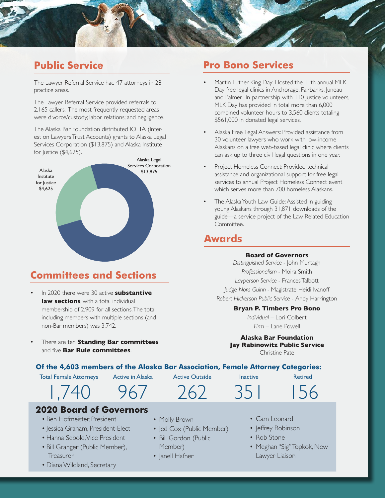

## **Public Service**

The Lawyer Referral Service had 47 attorneys in 28 practice areas.

The Lawyer Referral Service provided referrals to 2,165 callers. The most frequently requested areas were divorce/custody; labor relations; and negligence.

The Alaska Bar Foundation distributed IOLTA (Interest on Lawyers Trust Accounts) grants to Alaska Legal Services Corporation (\$13,875) and Alaska Institute for Justice (\$4,625).



## **Committees and Sections**

- In 2020 there were 30 active **substantive law sections**, with a total individual membership of 2,909 for all sections. The total, including members with multiple sections (and non-Bar members) was 3,742.
- There are ten **Standing Bar committees** and five **Bar Rule committees**.

## **Pro Bono Services**

- Martin Luther King Day: Hosted the 11th annual MLK Day free legal clinics in Anchorage, Fairbanks, Juneau and Palmer. In partnership with 110 justice volunteers, MLK Day has provided in total more than 6,000 combined volunteer hours to 3,560 clients totaling \$561,000 in donated legal services.
- Alaska Free Legal Answers: Provided assistance from 30 volunteer lawyers who work with low-income Alaskans on a free web-based legal clinic where clients can ask up to three civil legal questions in one year.
- Project Homeless Connect: Provided technical assistance and organizational support for free legal services to annual Project Homeless Connect event which serves more than 700 homeless Alaskans.
- The Alaska Youth Law Guide: Assisted in guiding young Alaskans through 31,871 downloads of the guide—a service project of the Law Related Education Committee.

## **Awards**

#### **Board of Governors**

*Distinguished Service -* John Murtagh *Professionalism -* Moira Smith *Layperson Service -* Frances Talbott *Judge Nora Guinn -* Magistrate Heidi Ivanoff *Robert Hickerson Public Service -* Andy Harrington

#### **Bryan P. Timbers Pro Bono**

*Individual* – Lori Colbert *Firm* – Lane Powell

**Alaska Bar Foundation Jay Rabinowitz Public Service** Christine Pate

**Of the 4,603 members of the Alaska Bar Association, Female Attorney Categories:**

Total Female Attorneys

Active in Alaska

Active Outside

262

Inactive

351

Retired

156

1,740 967

**2020 Board of Governors**

- Ben Hofmeister, President
- Jessica Graham, President-Elect
- Hanna Sebold, Vice President
- Bill Granger (Public Member), **Treasurer**
- Diana Wildland, Secretary
- 
- Molly Brown
- Jed Cox (Public Member)
- Bill Gordon (Public Member)
- Janell Hafner
- Cam Leonard
- Jeffrey Robinson
- Rob Stone
- Meghan "Sig" Topkok, New Lawyer Liaison